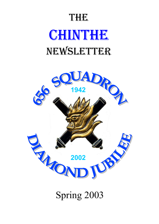# THE **CHINTHE** NEWSLETTER



Spring 2003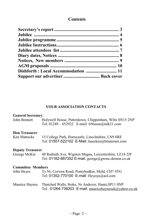#### **Contents**

#### **YOUR ASSOCIATION CONTACTS**

#### **General Secretary**:

| John Bennett | Holywell House, Patterdown, Chippenham, Wilts SN15 2NP  |  |
|--------------|---------------------------------------------------------|--|
|              | Tel: $01249 - 652922$ E-mail: $656$ assn $@$ talk21.com |  |

#### **Hon Treasurer**:

| Ken Mattocks | 15 College Park, Horncastle, Lincolnshire, LN9 6RE |  |  |
|--------------|----------------------------------------------------|--|--|
|              | Tel: 01507-522102 E-Mail: laureken@btinternet.com  |  |  |

## **Deputy Treasurer**

40 Redruth Ave, Wigston Magna, Leicestershire, LE18 2JF Tel: 01162-887352 E-mail: george@gwmc.demon.co.uk

#### **Committee Members**

| John Heyes | Ty Ni, Corwen Road, Pontybodkin, Mold, CH7 4TG |
|------------|------------------------------------------------|
|            | Tel: 01352-770100 E-mail: Heyesjs@aol.com      |

Maurice Haynes Thatched Walls, Stoke, Nr Andover, Hants,SP11 0NP Tel: 01264-738203 E-mail: mauricehaynesuk@yahoo.co.uk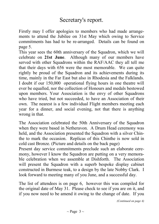Firstly may I offer apologies to members who had made arrangements to attend the Jubilee on 31st May which owing to Service commitments has had to be re-arranged. Details can be found on page 5.

This year sees the 60th anniversary of the Squadron, which we will celebrate on **21st June**. Although many of our members have served with other Squadrons within the RAF/AAC they all tell me that their days with 656 were the most memorable. We can quite rightly be proud of the Squadron and its achievements during its time, mainly in the Far East but also in Rhodesia and the Falklands. I doubt if our 150,000 operational flying hours in one theatre will ever be equalled, nor the collection of Honours and medals bestowed upon members. Your Association is the envy of other Squadrons who have tried, but not succeeded, to have an Association of their own. The nearest is a few individual Flight members meeting each year for a dinner, and social evening, not that there is anything wrong in that.

The Association celebrated the 50th Anniversary of the Squadron when they were based in Netheravon. A Drum Head ceremony was held, and the Association presented the Squadron with a silver Chinthe to mark the occasion. Replicas of this Chinthe is now sold in cold cast Bronze. (Picture and details on the back page)

Present day service commitments preclude such an elaborate ceremony, however I know the Squadron are putting on a very memorable celebration when we assemble at Dishforth. The Association will present the Squadron with a superb bespoke display cabinet constructed in Burmese teak, to a design by the late Nobby Clark. I look forward to meeting many of you June, and a successful day.

The list of attendees is on page 6, however this was compiled for the original date of May 31. Please check to see if you are on it, and if you now need to be amend it owing to the change of date. If you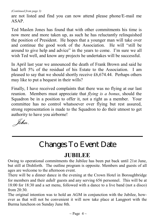*(Continued from page 3)* 

are not listed and find you can now attend please phone/E-mail me ASAP.

Ted Maslen Jones has found that with other commitments his time is now more and more taken up, as such he has reluctantly relinquished the position of President. He hopes that a younger man will take over and continue the good work of the Association. He will "still be around to give help and advice" in the years to come. I'm sure we all wish Ted well, and know any projects he undertakes will be successful.

In April last year we announced the death of Frank Brown and said he had left 5% of the residual of his Estate to the Association. I am pleased to say that we should shortly receive £6,674.44. Perhaps others may like to put a bequest in their wills?

Finally, I have received complaints that there was no flying at our last reunion. Members must appreciate that *flying is a bonus*, should the Squadron be in a position to offer it, not a right as a member. Your committee has no control whatsoever over flying but rest assured, strong representation is made to the Squadron to do their utmost to get authority to have you airborne!

 *John*.

# Changes To Event Date

## **JUBILEE**

Owing to operational commitments the Jubilee has been put back until 21st June, but still at Dishforth. The outline program is opposite. Members and guests of all ages are welcome to the afternoon event.

There will be a dinner dance in the evening at the Crown Hotel in Boroughbridge for members and their *adult* guests and any serving 656 personnel. This will be at 18:00 for 18:30 and a set menu, followed with a dance to a live band (not a disco) from  $20.30$ .

The original intention was to hold an AGM in conjunction with the Jubilee, however as that will not be convenient it will now take place at Langport with the Burma luncheon on Sunday June 8th.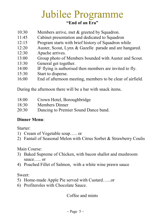## Jubilee Programme Jubilee Programme **"End of an Era"**

- 10:30 Members arrive, met & greeted by Squadron.
- 11:45 Cabinet presentation and dedicated to Squadron
- 12:15 Program starts with brief history of Squadron while
- 12:20 Auster, Scout, Lynx & Gazelle parade and are hangared.
- 12:30 Apache arrives.
- 13:00 Group photo of Members bounded with Auster and Scout.
- 13:30 General get together.
- 14:00 IF flying is authorised then members are invited to fly.
- 15:30 Start to disperse.
- 16:00 End of afternoon meeting, members to be clear of airfield.

During the afternoon there will be a bar with snack items.

- 18:00 Crown Hotel, Boroughbridge
- 18:30 Members Dinner
- 20:30 Dancing to Premier Sound Dance band.

#### **Dinner Menu**:

Starter:

- 1) Cream of Vegetable soup….. or
- 2) Fantail of Seasonal Melon with Citrus Sorbet & Strawberry Coulis

Main Course:

- 3) Baked Supreme of Chicken, with bacon shallot and mushroom sauce….. or
- 4) Poached Fillet of Salmon, with a white wine prawn sauce

Sweet:

- 5) Home-made Apple Pie served with Custard…...or
- 6) Profiteroles with Chocolate Sauce.

Coffee and mints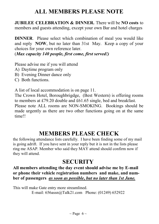## **ALL MEMBERS PLEASE NOTE**

**JUBILEE CELEBRATION & DINNER.** There will be **NO costs** to members and guests attending, except your own Bar and hotel charges

**DINNER**. Please select which combination of meal you would like and reply **NOW**, but no later than 31st May. Keep a copy of your choices for your own reference later.

(*Max capacity 140 people, first come, first served!)*

Please advise me if you will attend

- A) Daytime program only
- B) Evening Dinner dance only
- C) Both functions.

A list of local accommodation is on page 11.

The Crown Hotel, Boroughbrigdge, (Best Western) is offering rooms to members at £79.20 double and £61.65 single, bed and breakfast.

Please note ALL rooms are NON-SMOKING. Bookings should be made urgently as there are two other functions going on at the same time!!

## **MEMBERS PLEASE CHECK**

the following attendance lists carefully. I have been finding some of my mail is going adrift. If you have sent in your reply but it is not in the lists please ring me ASAP. Member who said they MAY attend should confirm now if they will attend.

### **SECURITY**

**All members attending the day event should advise me by E-mail or phone their vehicle registration numbers and make, and number of passengers** *as soon as possible***,** *but no later than 1st June.*

This will make Gate entry more streamlined. E-mail: 656assn@Talk21.com Phone: (01249) 652922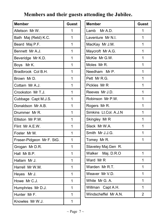## **Members and their guests attending the Jubilee.**

| <b>Member</b>             | <b>Guest</b> |
|---------------------------|--------------|
| Alletson Mr W.            | 1            |
| Bath Maj (Retd) K.C.      | 1            |
| Beard Maj P.F.            | 1            |
| Bennett Mr A.J.           | 1            |
| Beveridge Mr K.D.         | 1            |
| Mr K.<br>Boys             | 1            |
| Bradbrook Col B.H.        | 1            |
| Brown Mr D.               | 1            |
| Cottam Mr A.J.            | 1            |
| Crookston Mr T.J.         | 1            |
| Cubbage Capt M.J.S.       | 1            |
| Donaldson Mr A.B.         | 1            |
| Drummer Mr R.             | 1            |
| Elliston Mr P.W.          | 1            |
| Flint Mr A.E.W.           | 1            |
| Foster Mr M.              | 1            |
| Fraser-Pidgeon Mr F. StG. | 1            |
| Grogan Mr D.R.            | 1            |
| Hall Mr B.P.              | 1            |
| Hallam Mr J.              | 1            |
| Harrell Mr W.M.           | 1            |
| Heyes Mr J.               | 1            |
| Howe Mr C.J.              | 1            |
| Humphries Mr D.J.         | 1            |
| Hunter Mr F.              | 1            |
| Knowles Mr W.J.           | 1            |

| <b>Member</b>         | <b>Guest</b>   |
|-----------------------|----------------|
| Lamb Mr A.D.          | 1              |
| Laventure Mr N.I.     | 1              |
| MacKay Mr J.M.        | 1              |
| Maycroft Mr A.G.      | $\overline{1}$ |
| McKie Mr G.W.         | 1              |
| Moles Mr R.           | 1              |
| Needham Mr P.         | 1              |
| Pett Mr R.G.          | $\overline{1}$ |
| Pickles Mr R          | 1              |
| Reeves Mr J.D.        | 1              |
| Robinson Mr P.W.      | $\overline{1}$ |
| Rogers Mr R.          | 1              |
| Simkins Lt.Col. A.J.N | 1              |
| Skingley Mr R         | 1              |
| Slack Mr W.A.         | $\overline{1}$ |
| Smith Mr J.J.G.       | 1              |
| Tomey Mr R.           | 1              |
| Staveley Maj.Gen R.   |                |
| Walker Maj. D.R.O     | 1              |
| Ward Mr R             | 1              |
| Warden Mr R.T.        | 1              |
| Weaver Mr V.D.        | $\overline{1}$ |
| White Mr G. A.        | 1              |
| Willman Capt A.H.     | $\mathbf{1}$   |
| Windscheffel Mr A.N.  | 2              |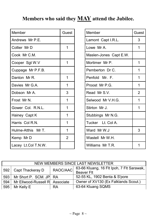## **Members who said they MAY attend the Jubilee.**

| Member              | Guest          |
|---------------------|----------------|
| Andrews Mr P.E.     |                |
| Collier MrD         | 1              |
| Cook Mr C.M.        |                |
| Cooper Sgt W.V      | 1              |
| Cuppage Mr P.F.B.   |                |
| Danton Mr R.        | 1              |
| Davies Mr G.A.      | 1              |
| Dobson Mr A.        | 3              |
| Frost Mr N.         | 1              |
| Gower Col. R.N.L.   | 1              |
| Hainey Capt K       | 1              |
| Harris Col R.N.     | 1              |
| Hulme-Atthis Mr T.  | 1              |
| Kemp Mr D           | $\overline{2}$ |
| Lacey Lt.Col T.N.W. |                |

| Member                 | Guest          |
|------------------------|----------------|
| Lamont Capt I.R.L.     | 3              |
| Lowe Mr A.             | 1              |
| Maslen-Jones Capt E.W. |                |
| Mortimer Mr P.         | 1              |
| Pemberton Dr C.        | 1              |
| Penfold Mr. F.         | 1              |
| Proost Mr P.G.         | 1              |
| Read Mr S.V.           | $\overline{2}$ |
| Selwood Mr V.H.G.      | 1              |
| Stirton Mr J.          | 1              |
| Stubbings Mr N.G.      |                |
| Tucker Lt. Col A.      |                |
| Ward Mr W.J            | 3              |
| Wastell Mr W.H.        |                |
| Williams Mr T.R.       |                |

| NEW MEMBERS SINCE LAST NEWSLETTER                        |                                |                                           |                                      |
|----------------------------------------------------------|--------------------------------|-------------------------------------------|--------------------------------------|
| RAOC/AAC<br>Capt Thackeray D<br>592<br><b>Beaver Flt</b> |                                | 63-66 Kluang, 16 Flt Ipoh, 7 Flt Sarawak, |                                      |
| 593                                                      | Mr Short P. SCM. JP RA         |                                           | 52-55 KL, 1902 Benta & S'pore        |
| 594                                                      | Mr Ellwood-Russell R Associate |                                           | Owner of XV130 (Ex Falklands Scout.) |
| 595                                                      | Mr Kelly E                     | RA                                        | 63-64 Kluang SQMS                    |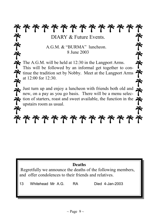\*\*\*\*\*\*\*\*\*\*\*\* DIARY & Future Events.

> A.G.M. & "BURMA" luncheon. 8 June 2003

The A.G.M. will be held at 12:30 in the Langport Arms. This will be followed by an informal get together to continue the tradition set by Nobby. Meet at the Langport Arms at 12:00 for 12:30.

Just turn up and enjoy a luncheon with friends both old and  $\blacktriangle$ new, on a pay as you go basis. There will be a menu selection of starters, roast and sweet available, the function in the upstairs room as usual.

# \*\*\*\*\*\*\*\*\*\*\*\*\*

### **Deaths**

 Regretfully we announce the deaths of the following members, and offer condolences to their friends and relatives.

13 Whitehead Mr A.G. RA Died 4-Jan-2003

ぞそぞ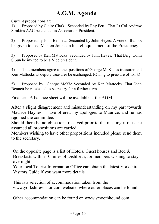## **A.G.M. Agenda**

Current propositions are:

1) Proposed by Claire Clark. Seconded by Ray Pett. That Lt.Col Andrew Simkins AAC be elected as Association President.

2) Proposed by John Bennett. Seconded by John Heyes. A vote of thanks be given to Ted Maslen Jones on his relinquishment of the Presidency

3) Proposed by Ken Mattocks Seconded by John Heyes. That Brig. Colin Sibun be invited to be a Vice president.

4) That members agree to the positions of George McKie as treasurer and Ken Mattocks as deputy treasurer be exchanged. (Owing to pressure of work)

5) Proposed by George McKie Seconded by Ken Mattocks. That John Bennett be re-elected as secretary for a further term.

Finances. A balance sheet will be available at the AGM.

After a slight disagreement and misunderstanding on my part towards Maurice Haynes, I have offered my apologies to Maurice, and he has rejoined the committee.

Should there be no objections received prior to the meeting it must be assumed all propositions are carried.

Members wishing to have other propositions included please send them to the secretary.

On the opposite page is a list of Hotels, Guest houses and Bed  $\&$ Breakfasts within 10 miles of Dishforth, for members wishing to stay overnight.

Your local Tourist Information Office can obtain the latest Yorkshire Visitors Guide if you want more details.

This is a selection of accommodation taken from the www.yorkshirevisitor.com website, where other places can be found.

Other accommodation can be found on www.smoothhound.com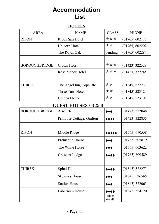## **Accommodation List**

#### **HOTELS**

| AREA                 | <b>NAME</b>              | <b>CLASS</b> | <b>PHONE</b>     |
|----------------------|--------------------------|--------------|------------------|
| <b>RIPON</b>         | Ripon Spa Hotel          | ***          | (01765) 602172   |
|                      | Unicorn Hotel            | **           | (01765) 602202   |
|                      | The Royal Oak            | pending      | (01765) 602284   |
|                      |                          |              |                  |
| <b>BOROUGHBRIDGE</b> | Crown Hotel              | ***          | $(01423)$ 322328 |
|                      | Rose Manor Hotel         | ***          | $(01423)$ 322245 |
|                      |                          |              |                  |
| <b>THIRSK</b>        | The Angel Inn, Topcliffe | **           | $(01845)$ 577237 |
|                      | Three Tuns Hotel         | **           | (01845) 523124   |
|                      | Golden Fleece            | **           | $(01845)$ 523108 |

#### **GUEST HOUSES / B & B**

| <b>BOROUGHBRIDGE</b> | $5001$ $10000$ $1000$<br>Arncliffe | ◆◆◆                       | $(01423)$ 322048 |
|----------------------|------------------------------------|---------------------------|------------------|
|                      | Primrose Cottage, Grafton          | 0000                      | $(01423)$ 322835 |
|                      |                                    |                           |                  |
| <b>RIPON</b>         | Middle Ridge                       | *****                     | $(01765)$ 690558 |
|                      | <b>Fremantle House</b>             | ◆◆◆                       | (01765) 605819   |
|                      | The White Horse                    | ◆◆◆                       | (01765) 603622   |
|                      | Crescent Lodge                     | 0000                      | (01765) 609589   |
|                      |                                    |                           |                  |
| THIRSK               | Spital Hill                        | 0000                      | $(01845)$ 522273 |
|                      | <b>St James House</b>              | ◆◆◆                       | $(01845)$ 526565 |
|                      | <b>Station House</b>               | ◆◆◆                       | $(01845)$ 522063 |
|                      | Laburnum House                     | 0000<br>(Silver<br>award) | $(01845)$ 524120 |